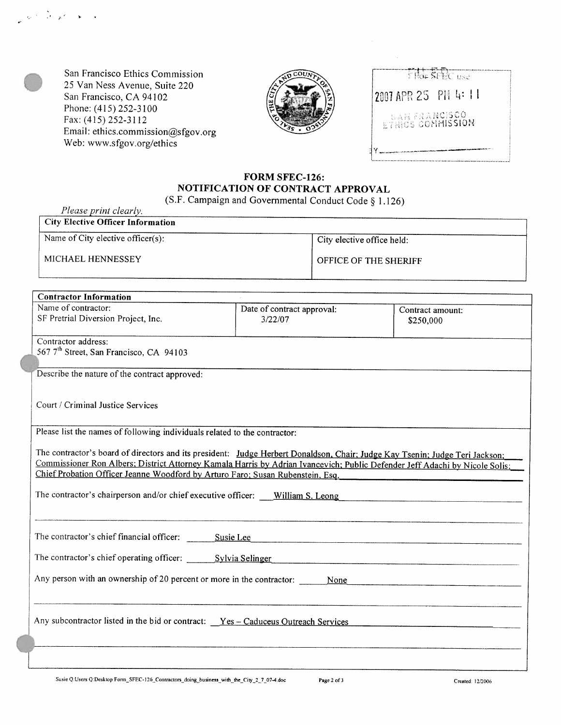San Francisco Ethics Commission 25 Van Ness Avenue, Suite 220 San Francisco, CA 94102 Phone: (415) 252-3100 Fax: (415) 252-3112 Email: ethics.commission@sfgov.org Web: www.sfgov.org/ethics



| 2007 APR 25 PH 4: 11 |  |                                                 |  |  |
|----------------------|--|-------------------------------------------------|--|--|
|                      |  |                                                 |  |  |
|                      |  | <b>SANFRANCISCO</b><br><b>FTRICS COMMISSION</b> |  |  |
|                      |  |                                                 |  |  |

## **FORM SFEC-126: NOTIFICATION OF CONTRACT APPROVAL**

(S.F. Campaign and Governmental Conduct Code *5* 1.126)

MICHAEL HENNESSEY *Please print clearly.*  **City Elective Officer Information**  OFFICE OF THE SHERIFF Name of City elective officer $(s)$ : City elective office held:

| <b>Contractor Information</b>                                                                                                |                            |                  |
|------------------------------------------------------------------------------------------------------------------------------|----------------------------|------------------|
| Name of contractor:<br>SF Pretrial Diversion Project, Inc.                                                                   | Date of contract approval: | Contract amount: |
|                                                                                                                              | 3/22/07                    | \$250,000        |
| Contractor address:                                                                                                          |                            |                  |
| 567 7 <sup>th</sup> Street, San Francisco, CA 94103                                                                          |                            |                  |
| Describe the nature of the contract approved:                                                                                |                            |                  |
| Court / Criminal Justice Services                                                                                            |                            |                  |
|                                                                                                                              |                            |                  |
| Please list the names of following individuals related to the contractor:                                                    |                            |                  |
| The contractor's board of directors and its president: Judge Herbert Donaldson, Chair; Judge Kay Tsenin; Judge Teri Jackson; |                            |                  |
| Commissioner Ron Albers: District Attorney Kamala Harris by Adrian Ivancevich; Public Defender Jeff Adachi by Nicole Solis;  |                            |                  |
| Chief Probation Officer Jeanne Woodford by Arturo Faro; Susan Rubenstein, Esg.                                               |                            |                  |
| The contractor's chairperson and/or chief executive officer: William S. Leong                                                |                            |                  |
|                                                                                                                              |                            |                  |
| The contractor's chief financial officer:                                                                                    | Susie Lee                  |                  |
| The contractor's chief operating officer: Sylvia Selinger                                                                    |                            |                  |
| Any person with an ownership of 20 percent or more in the contractor:                                                        | None                       |                  |
|                                                                                                                              |                            |                  |
|                                                                                                                              |                            |                  |
| Any subcontractor listed in the bid or contract: $Yes - Caduceus Outreach Services$                                          |                            |                  |
|                                                                                                                              |                            |                  |
|                                                                                                                              |                            |                  |
|                                                                                                                              |                            |                  |